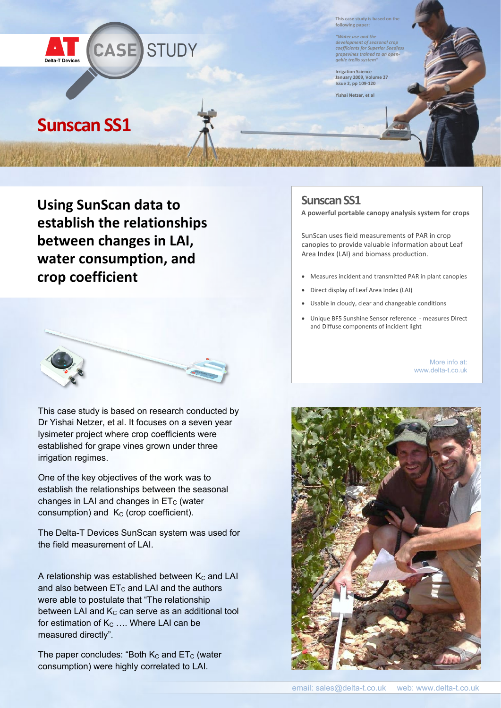

**This case study is based on the following paper:**

*"Water use and the development of seasonal crop coefficients for Superior Seedless grapevines trained to an opengable trellis system"*

**Irrigation Science January 2009, Volume 27 Issue 2, pp 109-120**

**Yishai Netzer, et al**

## **Sunscan SS1**

**Using SunScan data to establish the relationships between changes in LAI, water consumption, and crop coefficient**



This case study is based on research conducted by Dr Yishai Netzer, et al. It focuses on a seven year lysimeter project where crop coefficients were established for grape vines grown under three irrigation regimes.

One of the key objectives of the work was to establish the relationships between the seasonal changes in LAI and changes in  $ET_C$  (water consumption) and  $K_C$  (crop coefficient).

The Delta-T Devices SunScan system was used for the field measurement of LAI.

A relationship was established between  $K_C$  and LAI and also between  $ET_C$  and LAI and the authors were able to postulate that "The relationship between LAI and  $K_C$  can serve as an additional tool for estimation of  $K<sub>C</sub>$  .... Where LAI can be measured directly".

The paper concludes: "Both  $K_C$  and  $ET_C$  (water consumption) were highly correlated to LAI.

## **Sunscan SS1**

**A powerful portable canopy analysis system for crops**

SunScan uses field measurements of PAR in crop canopies to provide valuable information about Leaf Area Index (LAI) and biomass production.

- Measures incident and transmitted PAR in plant canopies
- Direct display of Leaf Area Index (LAI)
- Usable in cloudy, clear and changeable conditions
- Unique BF5 Sunshine Sensor reference measures Direct and Diffuse components of incident light

More info at: www.delta-t.co.uk